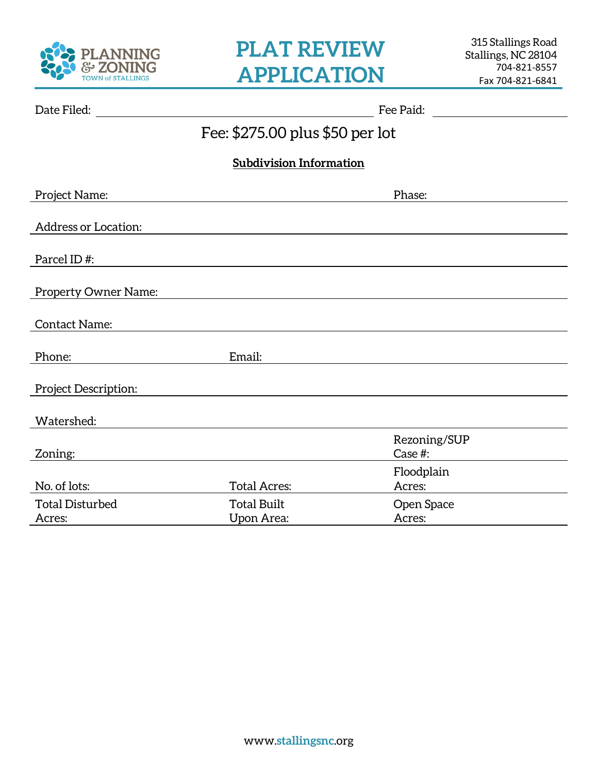

| Date Filed:                      |                                         | Fee Paid:               |
|----------------------------------|-----------------------------------------|-------------------------|
|                                  | Fee: \$275.00 plus \$50 per lot         |                         |
|                                  | <b>Subdivision Information</b>          |                         |
| Project Name:                    |                                         | Phase:                  |
| <b>Address or Location:</b>      |                                         |                         |
| Parcel ID#:                      |                                         |                         |
| <b>Property Owner Name:</b>      |                                         |                         |
| <b>Contact Name:</b>             |                                         |                         |
| Phone:                           | Email:                                  |                         |
| Project Description:             |                                         |                         |
| Watershed:                       |                                         |                         |
| Zoning:                          |                                         | Rezoning/SUP<br>Case #: |
| No. of lots:                     | <b>Total Acres:</b>                     | Floodplain<br>Acres:    |
| <b>Total Disturbed</b><br>Acres: | <b>Total Built</b><br><b>Upon Area:</b> | Open Space<br>Acres:    |